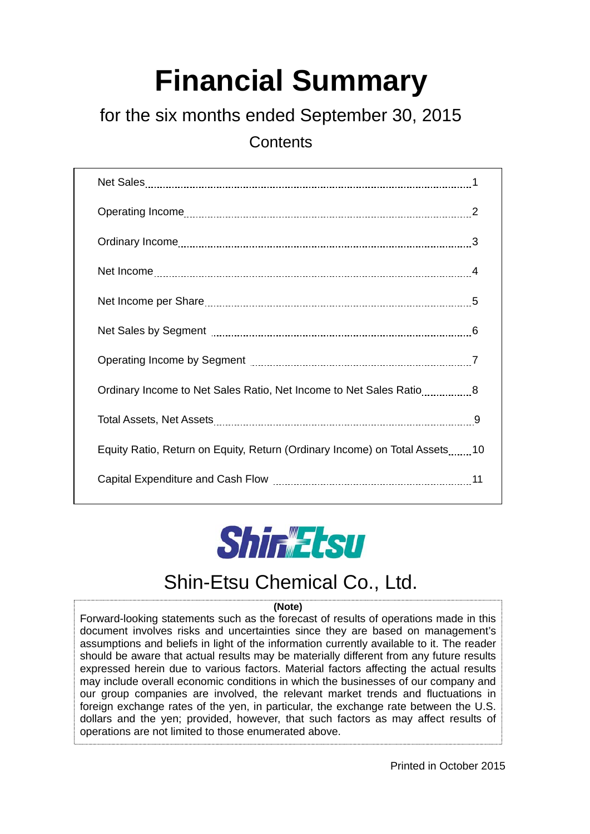# **Financial Summary**

## for the six months ended September 30, 2015

**Contents** 

| Ordinary Income to Net Sales Ratio, Net Income to Net Sales Ratio8         |  |
|----------------------------------------------------------------------------|--|
|                                                                            |  |
| Equity Ratio, Return on Equity, Return (Ordinary Income) on Total Assets10 |  |
|                                                                            |  |



# Shin-Etsu Chemical Co., Ltd.

#### **(Note)**

Forward-looking statements such as the forecast of results of operations made in this document involves risks and uncertainties since they are based on management's assumptions and beliefs in light of the information currently available to it. The reader should be aware that actual results may be materially different from any future results expressed herein due to various factors. Material factors affecting the actual results may include overall economic conditions in which the businesses of our company and our group companies are involved, the relevant market trends and fluctuations in foreign exchange rates of the yen, in particular, the exchange rate between the U.S. dollars and the yen; provided, however, that such factors as may affect results of operations are not limited to those enumerated above.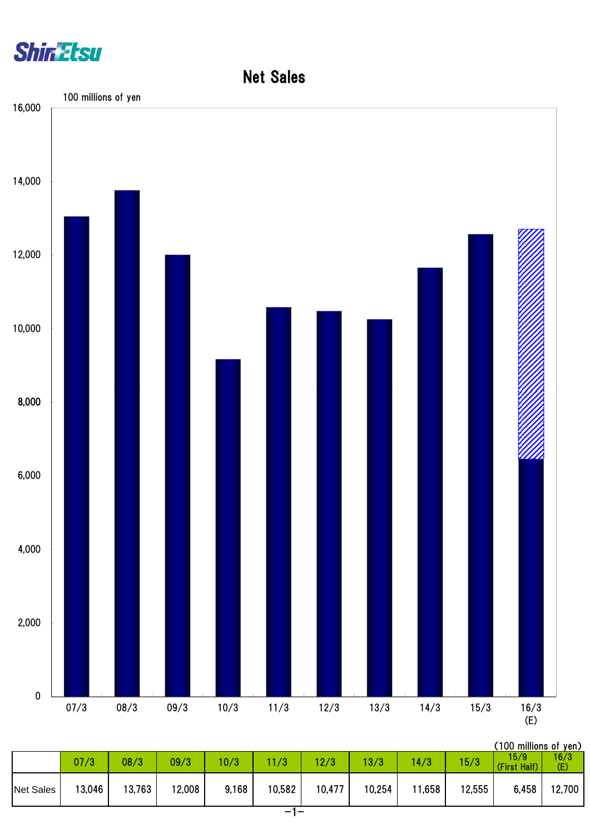

### Net Sales



| (100 millions of yen) |  |
|-----------------------|--|
|                       |  |

|                  | 07/3   | 08/3   | 09/3   | 0/3   | 1/3    | 12/3   | 13/3   | 14/3   | 15/3   | 15/9<br>(First Half) | 16/3<br>(E) |
|------------------|--------|--------|--------|-------|--------|--------|--------|--------|--------|----------------------|-------------|
| <b>Net Sales</b> | 13,046 | 13,763 | 12,008 | 9,168 | 10,582 | 10,477 | 10,254 | 11,658 | 12,555 | 6,458                | 12,700      |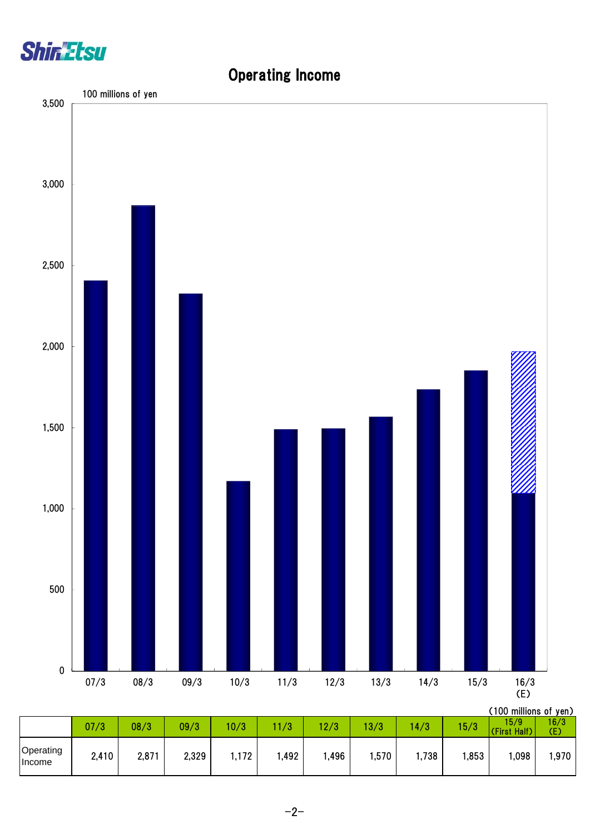

Operating

# (100 millions of yen) 07/3 08/3 09/3 10/3 11/3 12/3 13/3 14/3 15/3 15/9 (First Half) 16/3 (E) 0 500 1,000 1,500 2,000 2,500 3,000 3,500 07/3 08/3 09/3 10/3 11/3 12/3 13/3 14/3 15/3 16/3 (E) 100 millions of yen

### Operating Income

0pcrating | 2,410 | 2,871 | 2,329 | 1,172 | 1,492 | 1,496 | 1,570 | 1,738 | 1,853 | 1,098 | 1,970 | 1,098 | 1,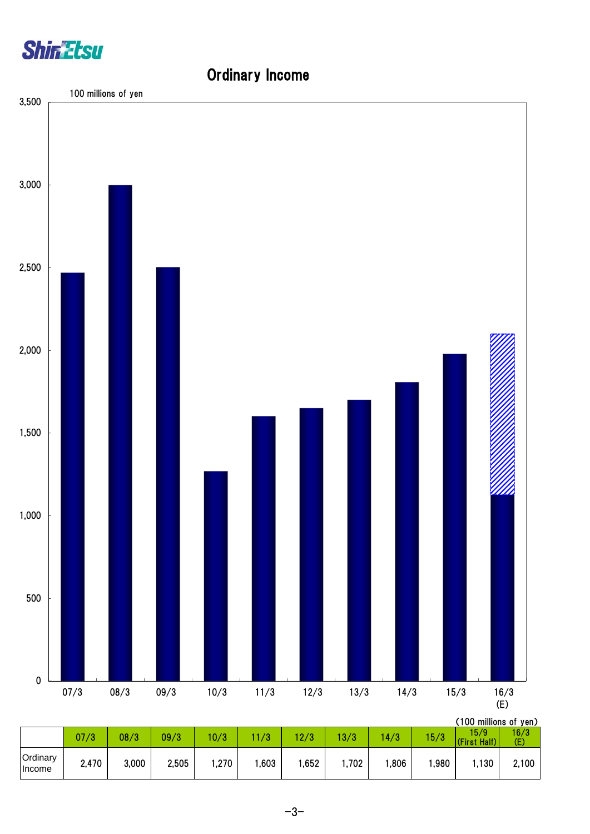



### Ordinary Income

|                    |       |       |       |      |      |      |       |      |      | , ו טע וווווווטווו טעו |                        |
|--------------------|-------|-------|-------|------|------|------|-------|------|------|------------------------|------------------------|
|                    | 07/3  | 08/3  | 09/3  | 10/3 | /3   | 12/3 | 3/3   | 14/3 | 15/3 | 15/9.<br>(First Half)  | 16/3<br>$\mathsf{(E)}$ |
| Ordinary<br>Income | 2,470 | 3,000 | 2,505 | ,270 | ,603 | ,652 | 1,702 | ,806 | ,980 | ,130                   | 2,100                  |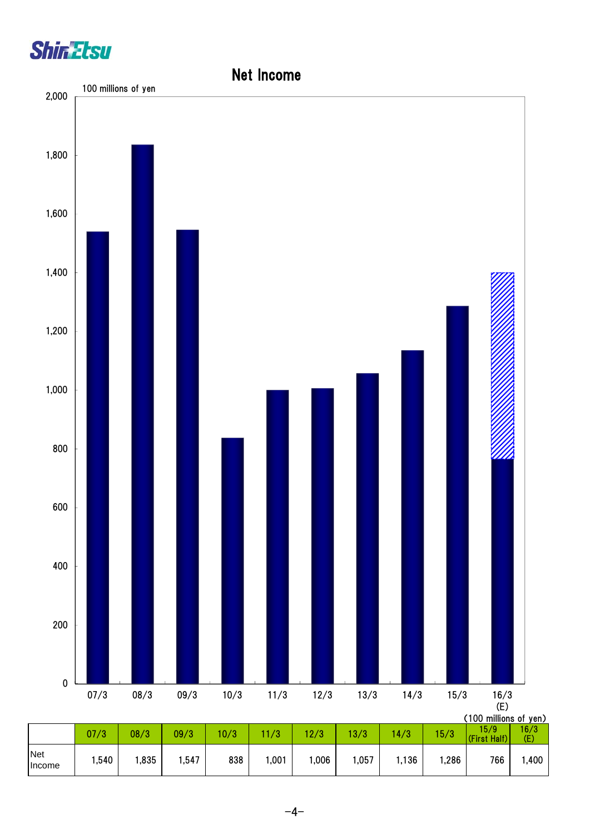



#### $-4-$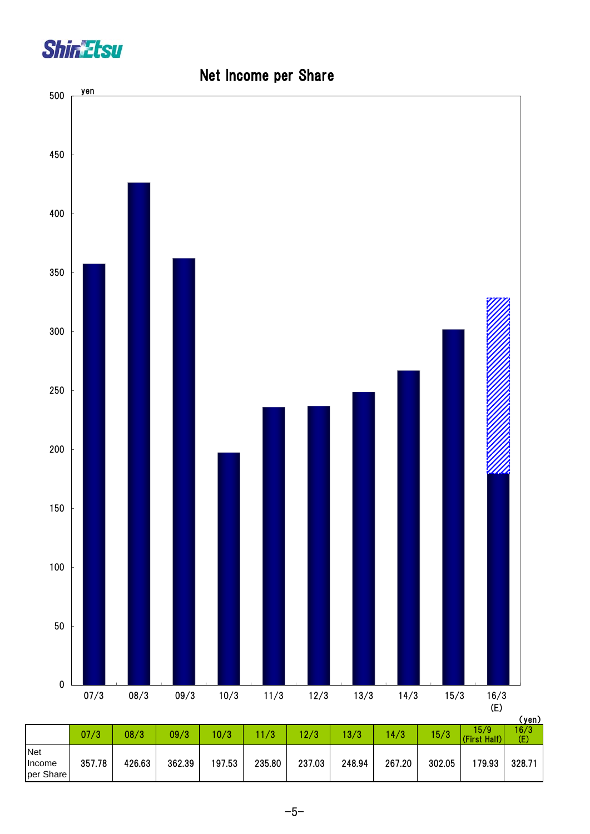



#### Net Income per Share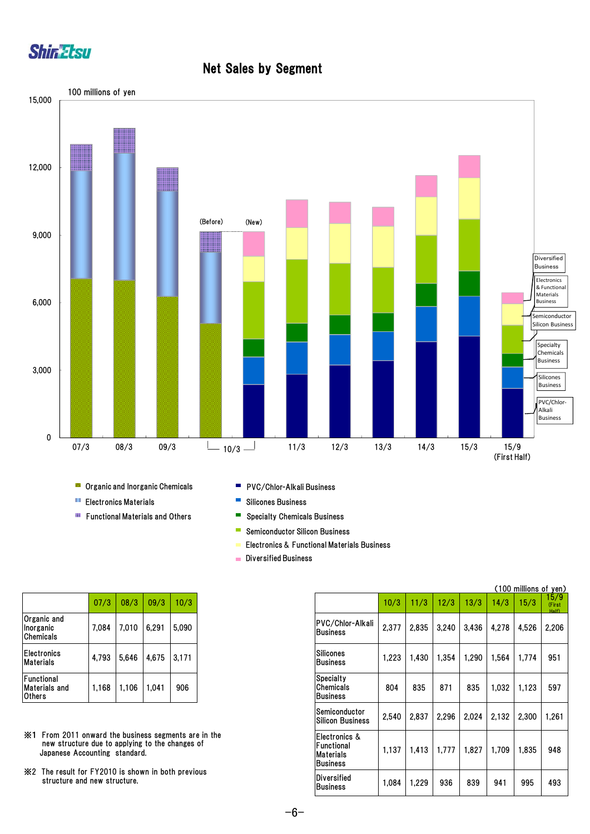

#### Net Sales by Segment



**Conduct** Organic and Inorganic Chemicals

- **Electronics Materials**
- **Functional Materials and Others**
- **PVC/Chlor-Alkali Business**
- $\overline{\phantom{a}}$ Silicones Business
- Specialty Chemicals Business  $\blacksquare$
- $\mathbb{R}^n$ Semiconductor Silicon Business
- Electronics & Functional Materials Business
- **Diversified Business**

|                                        | 07/3  | 08/3  | 09/3  | 10/3  |
|----------------------------------------|-------|-------|-------|-------|
| Organic and<br>Inorganic<br>Chemicals  | 7,084 | 7,010 | 6.291 | 5,090 |
| <b>Electronics</b><br><b>Materials</b> | 4.793 | 5.646 | 4,675 | 3.171 |
| Functional<br>Materials and<br>Others  | 1,168 | 1.106 | 1.041 | 906   |

- ※1 From 2011 onward the business segments are in the new structure due to applying to the changes of Japanese Accounting standard.
- ※2 The result for FY2010 is shown in both previous structure and new structure.

|                                                                                                                                          |       |       |       |        |                                                               |       |       |       |       | (100 millions of yen) |       |
|------------------------------------------------------------------------------------------------------------------------------------------|-------|-------|-------|--------|---------------------------------------------------------------|-------|-------|-------|-------|-----------------------|-------|
|                                                                                                                                          | 07/3  | 08/3  | 09/3  | 10/3   |                                                               | 10/3  | 11/3  | 12/3  | 13/3  | 14/3                  | 15/3  |
| Organic and<br>Chemicals                                                                                                                 | 7.084 | 7,010 | 6,291 | 5,090  | PVC/Chlor-Alkali<br><b>Business</b>                           | 2,377 | 2,835 | 3,240 | 3,436 | 4,278                 | 4,526 |
| Electronics<br>Materials                                                                                                                 | 4,793 | 5,646 | 4,675 | 13.171 | <b>Silicones</b><br><b>IBusiness</b>                          | 1,223 | 1,430 | 1,354 | 1,290 | 1.564                 | 1,774 |
| Functional<br>Materials and<br>Others                                                                                                    | 1.168 | 1,106 | 1,041 | 906    | <b>Specialty</b><br>Chemicals<br><b>IBusiness</b>             | 804   | 835   | 871   | 835   | 1,032                 | 1,123 |
|                                                                                                                                          |       |       |       |        | lSemiconductor<br><b>Silicon Business</b>                     | 2,540 | 2,837 | 2.296 | 2,024 | 2.132                 | 2,300 |
| ※1 From 2011 onward the business segments are in the<br>new structure due to applying to the changes of<br>Japanese Accounting standard. |       |       |       |        | IElectronics &<br>lFunctional<br><b>Materials</b><br>Business | 1,137 | 1,413 | 1,777 | 1,827 | 1.709                 | 1,835 |
| ※2 The result for FY2010 is shown in both previous<br>structure and new structure.                                                       |       |       |       |        | Diversified<br><b>IBusiness</b>                               | 1,084 | 1,229 | 936   | 839   | 941                   | 995   |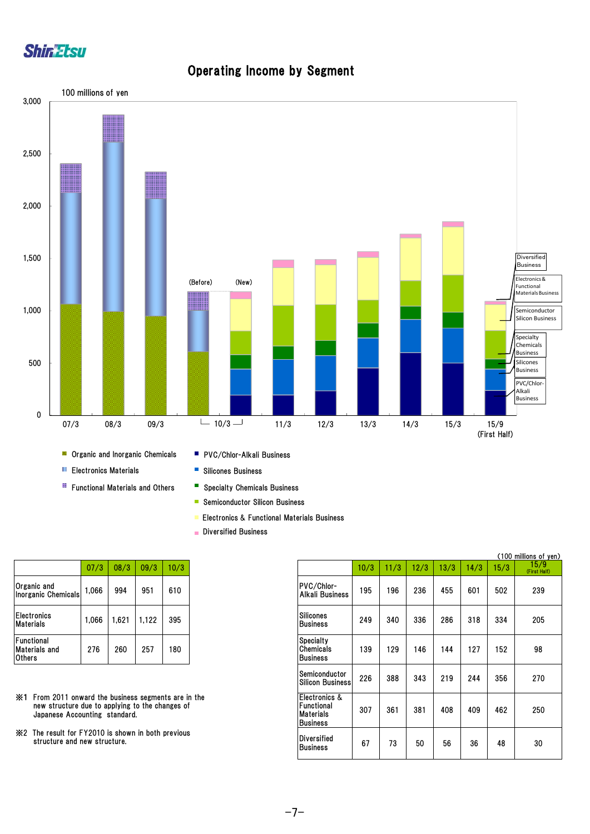



#### Operating Income by Segment

- Semiconductor Silicon Business
- **Electronics & Functional Materials Business**
- Diversified Business

|                                                     | 07/3  | 08/3  | 09/3  | 10/3 |
|-----------------------------------------------------|-------|-------|-------|------|
| Organic and<br><b>Inorganic Chemicals</b>           | 1.066 | 994   | 951   | 610  |
| <b>Electronics</b><br>Materials                     | 1,066 | 1.621 | 1,122 | 395  |
| Functional<br><b>Materials and</b><br><b>Others</b> | 276   | 260   | 257   | 180  |

- ※1 From 2011 onward the business segments are in the new structure due to applying to the changes of Japanese Accounting standard.
- ※2 The result for FY2010 is shown in both previous structure and new structure.

|                                                             |                                      | (100 millions of yen) |
|-------------------------------------------------------------|--------------------------------------|-----------------------|
| 08/3<br>09/3<br>10/3                                        | 10/3<br>11/3<br>12/3<br>13/3<br>14/3 | 15/3                  |
| PVC/Chlor-<br>994<br>951<br>610<br>Alkali Business          | 195<br>236<br>455<br>601<br>196      | 502                   |
| Silicones<br>1,621<br>395<br>1,122<br><b>Business</b>       | 249<br>286<br>318<br>336<br>340      | 334                   |
| Specialty<br>180<br>Chemicals<br><b>Business</b>            | 127<br>139<br>129<br>146<br>144      | 152                   |
| Semiconductor<br><b>Silicon Business</b>                    | 226<br>244<br>388<br>343<br>219      | 356                   |
| Electronics &<br>Functional<br>Materials<br><b>Business</b> | 307<br>381<br>409<br>361<br>408      | 462                   |
| Diversified                                                 | 67<br>56<br>36<br>73<br>50           | 48                    |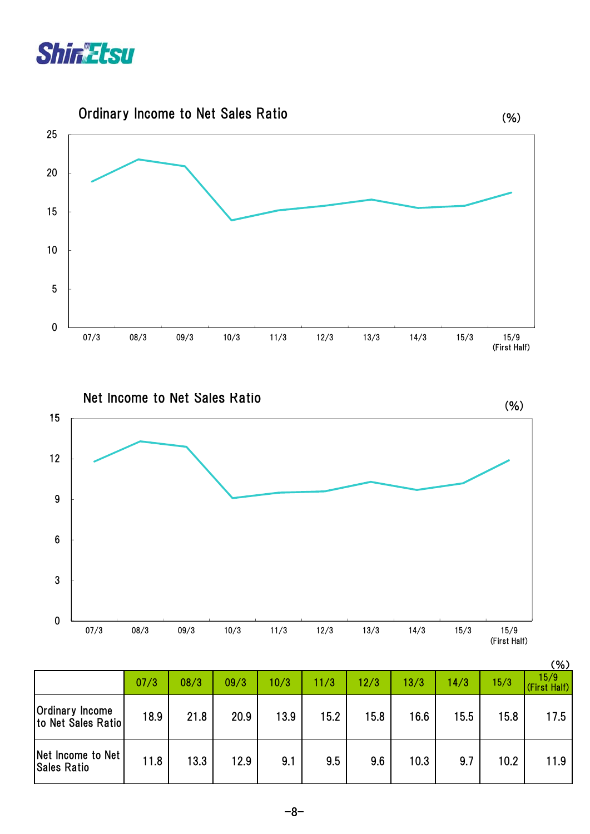





|                                              |      |      |      |      |      |      |      |      |      | (%)                  |
|----------------------------------------------|------|------|------|------|------|------|------|------|------|----------------------|
|                                              | 07/3 | 08/3 | 09/3 | 10/3 | 11/3 | 12/3 | 13/3 | 14/3 | 15/3 | 15/9<br>(First Half) |
| <b>Ordinary Income</b><br>to Net Sales Ratio | 18.9 | 21.8 | 20.9 | 13.9 | 15.2 | 15.8 | 16.6 | 15.5 | 15.8 | 17.5                 |
| Net Income to Net<br><b>Sales Ratio</b>      | 11.8 | 13.3 | 12.9 | 9.1  | 9.5  | 9.6  | 10.3 | 9.7  | 10.2 | 11.9                 |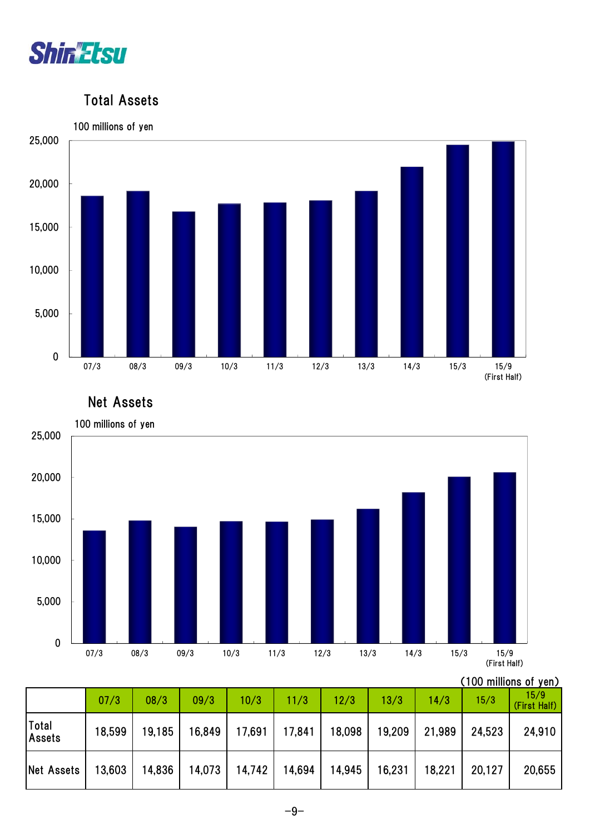

#### Total Assets



Net Assets



(100 millions of yen)

|                        | 07/3   | 08/3   | 09/3   | 10/3   | 11/3   | 12/3   | 13/3   | 14/3   | 15/3   | 15/9<br>(First Half) |
|------------------------|--------|--------|--------|--------|--------|--------|--------|--------|--------|----------------------|
| Total<br><b>Assets</b> | 18,599 | 19,185 | 16,849 | 17,691 | 17,841 | 18,098 | 19,209 | 21,989 | 24,523 | 24,910               |
| Net Assets             | 13,603 | 14,836 | 14,073 | 14,742 | 14,694 | 14,945 | 16,231 | 18,221 | 20,127 | 20,655               |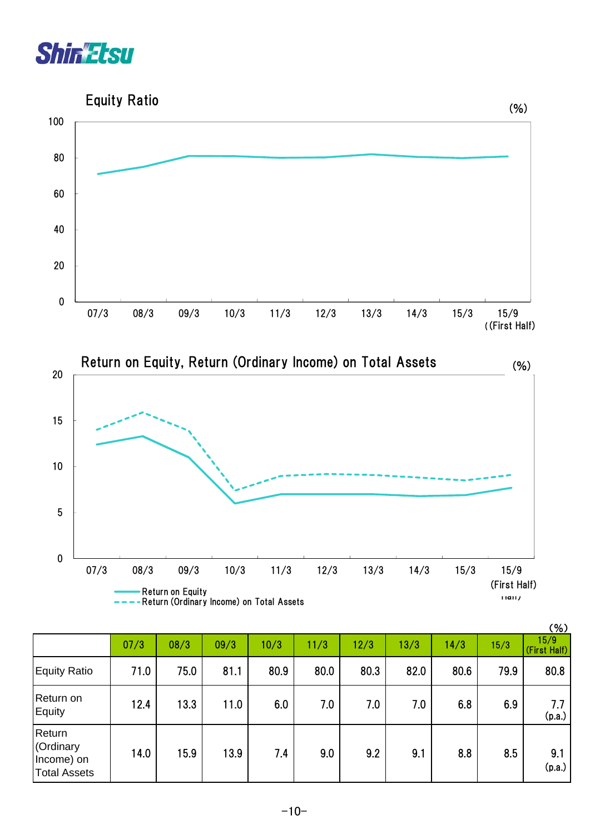



|                                                          |      |      |      |      |      |      |      |      |      | (% )                 |
|----------------------------------------------------------|------|------|------|------|------|------|------|------|------|----------------------|
|                                                          | 07/3 | 08/3 | 09/3 | 10/3 | 11/3 | 12/3 | 13/3 | 14/3 | 15/3 | 15/9<br>(First Half) |
| <b>Equity Ratio</b>                                      | 71.0 | 75.0 | 81.1 | 80.9 | 80.0 | 80.3 | 82.0 | 80.6 | 79.9 | 80.8                 |
| Return on<br>Equity                                      | 12.4 | 13.3 | 11.0 | 6.0  | 7.0  | 7.0  | 7.0  | 6.8  | 6.9  | 7.7<br>(p.a.)        |
| Return<br>(Ordinary<br>Income) on<br><b>Total Assets</b> | 14.0 | 15.9 | 13.9 | 7.4  | 9.0  | 9.2  | 9.1  | 8.8  | 8.5  | 9.1<br>(p.a.)        |